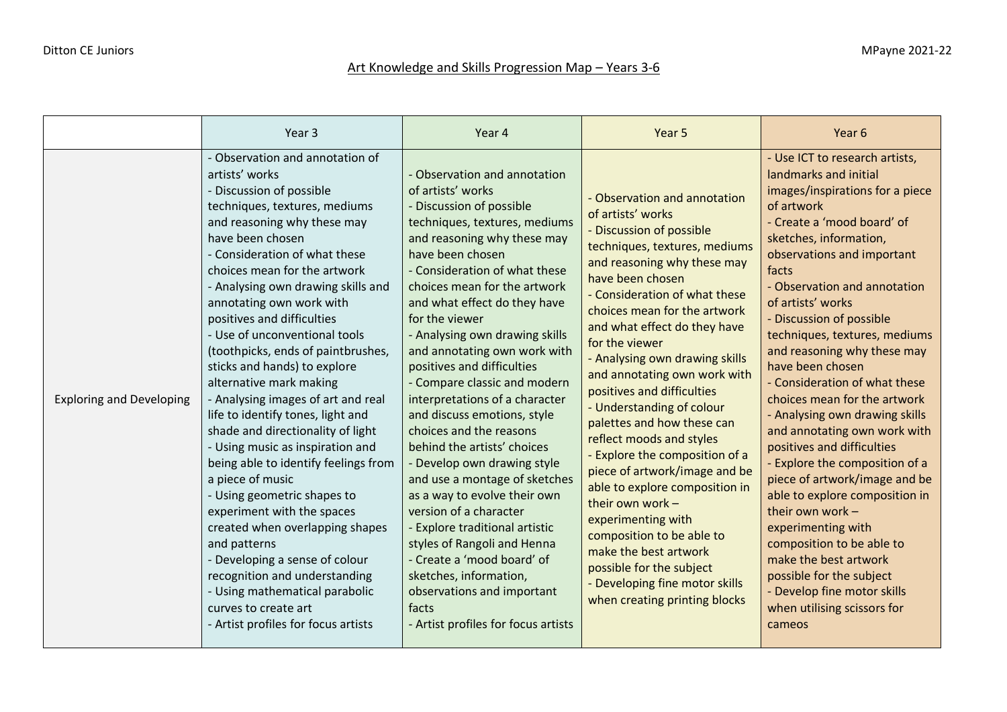## Art Knowledge and Skills Progression Map - Years 3-6

|                                 | Year <sub>3</sub>                                                                                                                                                                                                                                                                                                                                                                                                                                                                                                                                                                                                                                                                                                                                                                                                                                                                                                                                                        | Year 4                                                                                                                                                                                                                                                                                                                                                                                                                                                                                                                                                                                                                                                                                                                                                                                                                                                                           | Year 5                                                                                                                                                                                                                                                                                                                                                                                                                                                                                                                                                                                                                                                                                                                                                                          | Year 6                                                                                                                                                                                                                                                                                                                                                                                                                                                                                                                                                                                                                                                                                                                                                                                                                                                      |
|---------------------------------|--------------------------------------------------------------------------------------------------------------------------------------------------------------------------------------------------------------------------------------------------------------------------------------------------------------------------------------------------------------------------------------------------------------------------------------------------------------------------------------------------------------------------------------------------------------------------------------------------------------------------------------------------------------------------------------------------------------------------------------------------------------------------------------------------------------------------------------------------------------------------------------------------------------------------------------------------------------------------|----------------------------------------------------------------------------------------------------------------------------------------------------------------------------------------------------------------------------------------------------------------------------------------------------------------------------------------------------------------------------------------------------------------------------------------------------------------------------------------------------------------------------------------------------------------------------------------------------------------------------------------------------------------------------------------------------------------------------------------------------------------------------------------------------------------------------------------------------------------------------------|---------------------------------------------------------------------------------------------------------------------------------------------------------------------------------------------------------------------------------------------------------------------------------------------------------------------------------------------------------------------------------------------------------------------------------------------------------------------------------------------------------------------------------------------------------------------------------------------------------------------------------------------------------------------------------------------------------------------------------------------------------------------------------|-------------------------------------------------------------------------------------------------------------------------------------------------------------------------------------------------------------------------------------------------------------------------------------------------------------------------------------------------------------------------------------------------------------------------------------------------------------------------------------------------------------------------------------------------------------------------------------------------------------------------------------------------------------------------------------------------------------------------------------------------------------------------------------------------------------------------------------------------------------|
| <b>Exploring and Developing</b> | - Observation and annotation of<br>artists' works<br>- Discussion of possible<br>techniques, textures, mediums<br>and reasoning why these may<br>have been chosen<br>- Consideration of what these<br>choices mean for the artwork<br>- Analysing own drawing skills and<br>annotating own work with<br>positives and difficulties<br>- Use of unconventional tools<br>(toothpicks, ends of paintbrushes,<br>sticks and hands) to explore<br>alternative mark making<br>- Analysing images of art and real<br>life to identify tones, light and<br>shade and directionality of light<br>- Using music as inspiration and<br>being able to identify feelings from<br>a piece of music<br>- Using geometric shapes to<br>experiment with the spaces<br>created when overlapping shapes<br>and patterns<br>- Developing a sense of colour<br>recognition and understanding<br>- Using mathematical parabolic<br>curves to create art<br>- Artist profiles for focus artists | - Observation and annotation<br>of artists' works<br>- Discussion of possible<br>techniques, textures, mediums<br>and reasoning why these may<br>have been chosen<br>- Consideration of what these<br>choices mean for the artwork<br>and what effect do they have<br>for the viewer<br>- Analysing own drawing skills<br>and annotating own work with<br>positives and difficulties<br>- Compare classic and modern<br>interpretations of a character<br>and discuss emotions, style<br>choices and the reasons<br>behind the artists' choices<br>- Develop own drawing style<br>and use a montage of sketches<br>as a way to evolve their own<br>version of a character<br>- Explore traditional artistic<br>styles of Rangoli and Henna<br>- Create a 'mood board' of<br>sketches, information,<br>observations and important<br>facts<br>- Artist profiles for focus artists | - Observation and annotation<br>of artists' works<br>- Discussion of possible<br>techniques, textures, mediums<br>and reasoning why these may<br>have been chosen<br>- Consideration of what these<br>choices mean for the artwork<br>and what effect do they have<br>for the viewer<br>- Analysing own drawing skills<br>and annotating own work with<br>positives and difficulties<br>- Understanding of colour<br>palettes and how these can<br>reflect moods and styles<br>- Explore the composition of a<br>piece of artwork/image and be<br>able to explore composition in<br>their own work -<br>experimenting with<br>composition to be able to<br>make the best artwork<br>possible for the subject<br>- Developing fine motor skills<br>when creating printing blocks | - Use ICT to research artists,<br>landmarks and initial<br>images/inspirations for a piece<br>of artwork<br>- Create a 'mood board' of<br>sketches, information,<br>observations and important<br>facts<br>- Observation and annotation<br>of artists' works<br>- Discussion of possible<br>techniques, textures, mediums<br>and reasoning why these may<br>have been chosen<br>- Consideration of what these<br>choices mean for the artwork<br>- Analysing own drawing skills<br>and annotating own work with<br>positives and difficulties<br><b>Explore the composition of a</b><br>piece of artwork/image and be<br>able to explore composition in<br>their own work $-$<br>experimenting with<br>composition to be able to<br>make the best artwork<br>possible for the subject<br>Develop fine motor skills<br>when utilising scissors for<br>cameos |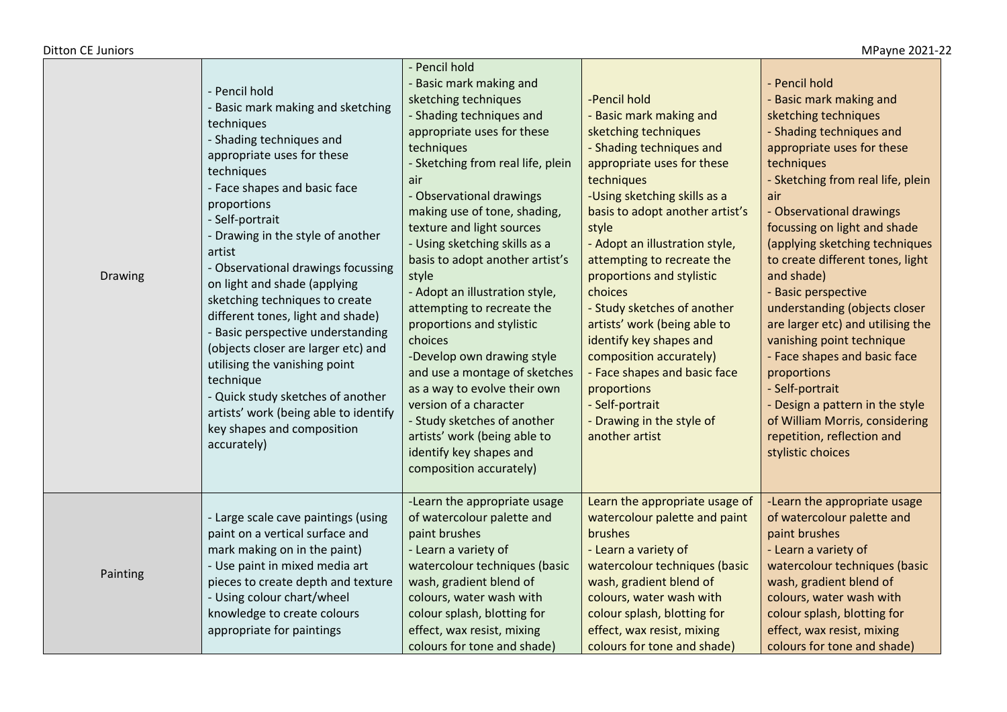## Ditton CE Juniors MPayne 2021-22

| Drawing  | - Pencil hold<br>Basic mark making and sketching<br>techniques<br>- Shading techniques and<br>appropriate uses for these<br>techniques<br>- Face shapes and basic face<br>proportions<br>- Self-portrait<br>- Drawing in the style of another<br>artist<br>- Observational drawings focussing<br>on light and shade (applying<br>sketching techniques to create<br>different tones, light and shade)<br>Basic perspective understanding<br>(objects closer are larger etc) and<br>utilising the vanishing point<br>technique<br>- Quick study sketches of another<br>artists' work (being able to identify<br>key shapes and composition<br>accurately) | - Pencil hold<br>- Basic mark making and<br>sketching techniques<br>- Shading techniques and<br>appropriate uses for these<br>techniques<br>- Sketching from real life, plein<br>air<br>- Observational drawings<br>making use of tone, shading,<br>texture and light sources<br>- Using sketching skills as a<br>basis to adopt another artist's<br>style<br>- Adopt an illustration style,<br>attempting to recreate the<br>proportions and stylistic<br>choices<br>-Develop own drawing style<br>and use a montage of sketches<br>as a way to evolve their own<br>version of a character<br>- Study sketches of another<br>artists' work (being able to<br>identify key shapes and<br>composition accurately) | -Pencil hold<br>- Basic mark making and<br>sketching techniques<br>- Shading techniques and<br>appropriate uses for these<br>techniques<br>-Using sketching skills as a<br>basis to adopt another artist's<br>style<br>- Adopt an illustration style,<br>attempting to recreate the<br>proportions and stylistic<br>choices<br>- Study sketches of another<br>artists' work (being able to<br>identify key shapes and<br>composition accurately)<br>- Face shapes and basic face<br>proportions<br>- Self-portrait<br>- Drawing in the style of<br>another artist | - Pencil hold<br>- Basic mark making and<br>sketching techniques<br>- Shading techniques and<br>appropriate uses for these<br>techniques<br>- Sketching from real life, plein<br>air<br>- Observational drawings<br>focussing on light and shade<br>(applying sketching techniques<br>to create different tones, light<br>and shade)<br>- Basic perspective<br>understanding (objects closer<br>are larger etc) and utilising the<br>vanishing point technique<br>- Face shapes and basic face<br>proportions<br>- Self-portrait<br>- Design a pattern in the style<br>of William Morris, considering<br>repetition, reflection and<br>stylistic choices |
|----------|---------------------------------------------------------------------------------------------------------------------------------------------------------------------------------------------------------------------------------------------------------------------------------------------------------------------------------------------------------------------------------------------------------------------------------------------------------------------------------------------------------------------------------------------------------------------------------------------------------------------------------------------------------|------------------------------------------------------------------------------------------------------------------------------------------------------------------------------------------------------------------------------------------------------------------------------------------------------------------------------------------------------------------------------------------------------------------------------------------------------------------------------------------------------------------------------------------------------------------------------------------------------------------------------------------------------------------------------------------------------------------|-------------------------------------------------------------------------------------------------------------------------------------------------------------------------------------------------------------------------------------------------------------------------------------------------------------------------------------------------------------------------------------------------------------------------------------------------------------------------------------------------------------------------------------------------------------------|----------------------------------------------------------------------------------------------------------------------------------------------------------------------------------------------------------------------------------------------------------------------------------------------------------------------------------------------------------------------------------------------------------------------------------------------------------------------------------------------------------------------------------------------------------------------------------------------------------------------------------------------------------|
| Painting | - Large scale cave paintings (using<br>paint on a vertical surface and<br>mark making on in the paint)<br>- Use paint in mixed media art<br>pieces to create depth and texture<br>- Using colour chart/wheel<br>knowledge to create colours<br>appropriate for paintings                                                                                                                                                                                                                                                                                                                                                                                | -Learn the appropriate usage<br>of watercolour palette and<br>paint brushes<br>- Learn a variety of<br>watercolour techniques (basic<br>wash, gradient blend of<br>colours, water wash with<br>colour splash, blotting for<br>effect, wax resist, mixing<br>colours for tone and shade)                                                                                                                                                                                                                                                                                                                                                                                                                          | Learn the appropriate usage of<br>watercolour palette and paint<br>brushes<br>- Learn a variety of<br>watercolour techniques (basic<br>wash, gradient blend of<br>colours, water wash with<br>colour splash, blotting for<br>effect, wax resist, mixing<br>colours for tone and shade)                                                                                                                                                                                                                                                                            | -Learn the appropriate usage<br>of watercolour palette and<br>paint brushes<br>- Learn a variety of<br>watercolour techniques (basic<br>wash, gradient blend of<br>colours, water wash with<br>colour splash, blotting for<br>effect, wax resist, mixing<br>colours for tone and shade)                                                                                                                                                                                                                                                                                                                                                                  |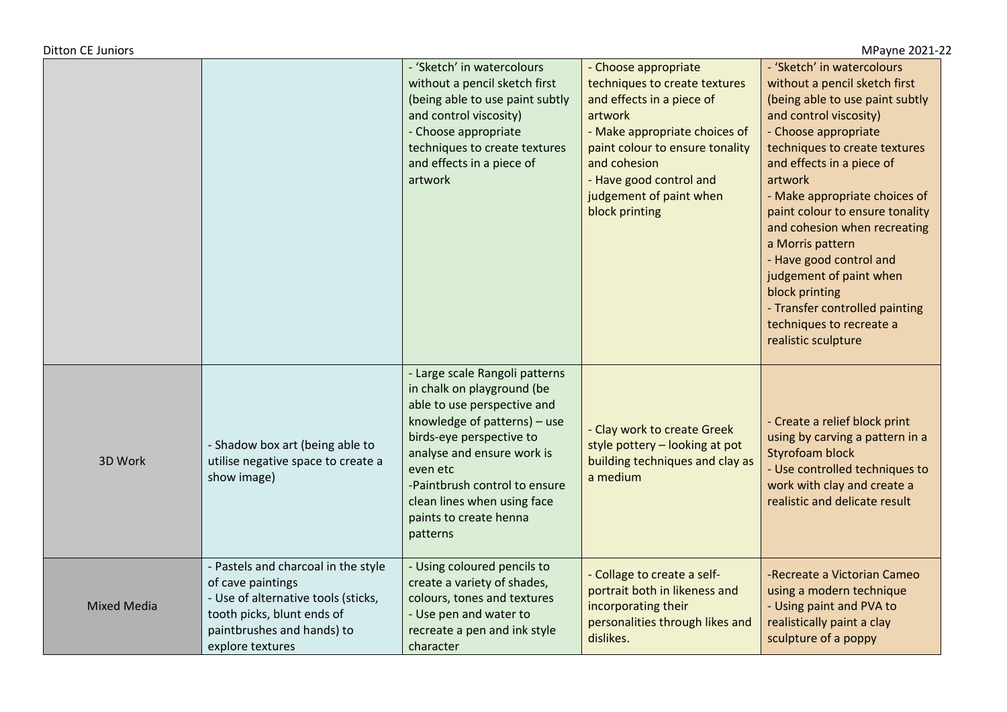| <b>Ditton CE Juniors</b><br>MPayne 2021-22 |                                                                                                                                                                                 |                                                                                                                                                                                                                                                                                                         |                                                                                                                                                                                                                                                           |                                                                                                                                                                                                                                                                                                                                                                                                                                                                                                                |  |
|--------------------------------------------|---------------------------------------------------------------------------------------------------------------------------------------------------------------------------------|---------------------------------------------------------------------------------------------------------------------------------------------------------------------------------------------------------------------------------------------------------------------------------------------------------|-----------------------------------------------------------------------------------------------------------------------------------------------------------------------------------------------------------------------------------------------------------|----------------------------------------------------------------------------------------------------------------------------------------------------------------------------------------------------------------------------------------------------------------------------------------------------------------------------------------------------------------------------------------------------------------------------------------------------------------------------------------------------------------|--|
|                                            |                                                                                                                                                                                 | - 'Sketch' in watercolours<br>without a pencil sketch first<br>(being able to use paint subtly<br>and control viscosity)<br>- Choose appropriate<br>techniques to create textures<br>and effects in a piece of<br>artwork                                                                               | - Choose appropriate<br>techniques to create textures<br>and effects in a piece of<br>artwork<br>- Make appropriate choices of<br>paint colour to ensure tonality<br>and cohesion<br>- Have good control and<br>judgement of paint when<br>block printing | - 'Sketch' in watercolours<br>without a pencil sketch first<br>(being able to use paint subtly<br>and control viscosity)<br>- Choose appropriate<br>techniques to create textures<br>and effects in a piece of<br>artwork<br>- Make appropriate choices of<br>paint colour to ensure tonality<br>and cohesion when recreating<br>a Morris pattern<br>- Have good control and<br>judgement of paint when<br>block printing<br>- Transfer controlled painting<br>techniques to recreate a<br>realistic sculpture |  |
| 3D Work                                    | - Shadow box art (being able to<br>utilise negative space to create a<br>show image)                                                                                            | - Large scale Rangoli patterns<br>in chalk on playground (be<br>able to use perspective and<br>knowledge of patterns) - use<br>birds-eye perspective to<br>analyse and ensure work is<br>even etc<br>-Paintbrush control to ensure<br>clean lines when using face<br>paints to create henna<br>patterns | - Clay work to create Greek<br>style pottery - looking at pot<br>building techniques and clay as<br>a medium                                                                                                                                              | - Create a relief block print<br>using by carving a pattern in a<br><b>Styrofoam block</b><br>- Use controlled techniques to<br>work with clay and create a<br>realistic and delicate result                                                                                                                                                                                                                                                                                                                   |  |
| <b>Mixed Media</b>                         | - Pastels and charcoal in the style<br>of cave paintings<br>- Use of alternative tools (sticks,<br>tooth picks, blunt ends of<br>paintbrushes and hands) to<br>explore textures | - Using coloured pencils to<br>create a variety of shades,<br>colours, tones and textures<br>- Use pen and water to<br>recreate a pen and ink style<br>character                                                                                                                                        | - Collage to create a self-<br>portrait both in likeness and<br>incorporating their<br>personalities through likes and<br>dislikes.                                                                                                                       | -Recreate a Victorian Cameo<br>using a modern technique<br>- Using paint and PVA to<br>realistically paint a clay<br>sculpture of a poppy                                                                                                                                                                                                                                                                                                                                                                      |  |